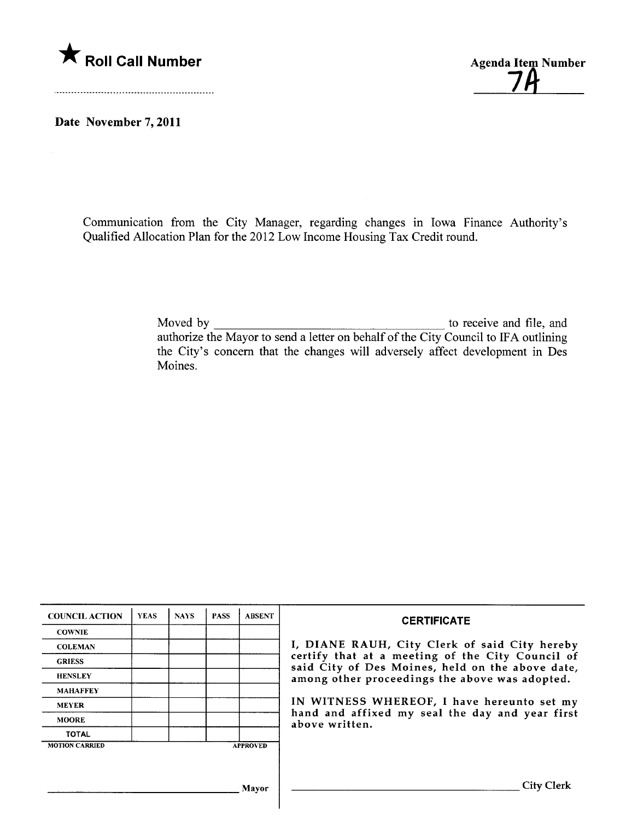

<u>7A</u>

Date November 7, 2011

Communication from the City Manager, regarding changes in Iowa Finance Authority's Qualified Allocation Plan for the 2012 Low Income Housing Tax Credit round.

> Moved by  $\frac{1}{\sqrt{1-\frac{1}{2}}\sqrt{1-\frac{1}{2}}\sqrt{1-\frac{1}{2}}\sqrt{1-\frac{1}{2}}}}$  to receive and file, and authorize the Mayor to send a letter on behalf of the City Council to IF A outlining the City's concern that the changes will adversely affect development in Des Moines.

| <b>COUNCIL ACTION</b> | <b>YEAS</b> | <b>NAYS</b> | <b>PASS</b> | <b>ABSENT</b>   | <b>CERTIFICATE</b>                                                                                                                                                                                                                                                                                                         |
|-----------------------|-------------|-------------|-------------|-----------------|----------------------------------------------------------------------------------------------------------------------------------------------------------------------------------------------------------------------------------------------------------------------------------------------------------------------------|
| <b>COWNIE</b>         |             |             |             |                 | I, DIANE RAUH, City Clerk of said City hereby<br>certify that at a meeting of the City Council of<br>said City of Des Moines, held on the above date,<br>among other proceedings the above was adopted.<br>IN WITNESS WHEREOF, I have hereunto set my<br>hand and affixed my seal the day and year first<br>above written. |
| <b>COLEMAN</b>        |             |             |             |                 |                                                                                                                                                                                                                                                                                                                            |
| <b>GRIESS</b>         |             |             |             |                 |                                                                                                                                                                                                                                                                                                                            |
| <b>HENSLEY</b>        |             |             |             |                 |                                                                                                                                                                                                                                                                                                                            |
| <b>MAHAFFEY</b>       |             |             |             |                 |                                                                                                                                                                                                                                                                                                                            |
| <b>MEYER</b>          |             |             |             |                 |                                                                                                                                                                                                                                                                                                                            |
| <b>MOORE</b>          |             |             |             |                 |                                                                                                                                                                                                                                                                                                                            |
| <b>TOTAL</b>          |             |             |             |                 |                                                                                                                                                                                                                                                                                                                            |
| <b>MOTION CARRIED</b> |             |             |             | <b>APPROVED</b> |                                                                                                                                                                                                                                                                                                                            |
|                       |             |             |             |                 |                                                                                                                                                                                                                                                                                                                            |
|                       |             |             |             |                 |                                                                                                                                                                                                                                                                                                                            |
| Mayor                 |             |             |             |                 | City C                                                                                                                                                                                                                                                                                                                     |